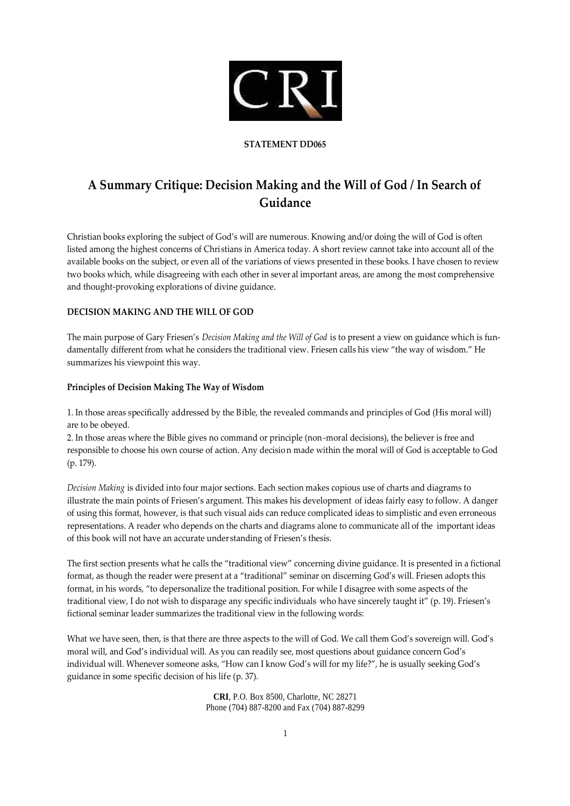

#### **STATEMENT DD065**

# **A Summary Critique: Decision Making and the Will of God / In Search of Guidance**

Christian books exploring the subject of God's will are numerous. Knowing and/or doing the will of God is often listed among the highest concerns of Christians in America today. A short review cannot take into account all of the available books on the subject, or even all of the variations of views presented in these books. I have chosen to review two books which, while disagreeing with each other in sever al important areas, are among the most comprehensive and thought-provoking explorations of divine guidance.

## **DECISION MAKING AND THE WILL OF GOD**

The main purpose of Gary Friesen's *Decision Making and the Will of God* is to present a view on guidance which is fundamentally different from what he considers the traditional view. Friesen calls his view "the way of wisdom." He summarizes his viewpoint this way.

#### **Principles of Decision Making The Way of Wisdom**

1. In those areas specifically addressed by the Bible, the revealed commands and principles of God (His moral will) are to be obeyed.

2. In those areas where the Bible gives no command or principle (non -moral decisions), the believer is free and responsible to choose his own course of action. Any decision made within the moral will of God is acceptable to God (p. 179).

*Decision Making* is divided into four major sections. Each section makes copious use of charts and diagrams to illustrate the main points of Friesen's argument. This makes his development of ideas fairly easy to follow. A danger of using this format, however, is that such visual aids can reduce complicated ideas to simplistic and even erroneous representations. A reader who depends on the charts and diagrams alone to communicate all of the important ideas of this book will not have an accurate under standing of Friesen's thesis.

The first section presents what he calls the "traditional view" concerning divine guidance. It is presented in a fictional format, as though the reader were present at a "traditional" seminar on discerning God's will. Friesen adopts this format, in his words, "to depersonalize the traditional position. For while I disagree with some aspects of the traditional view, I do not wish to disparage any specific individuals who have sincerely taught it" (p. 19). Friesen's fictional seminar leader summarizes the traditional view in the following words:

What we have seen, then, is that there are three aspects to the will of God. We call them God's sovereign will. God's moral will, and God's individual will. As you can readily see, most questions about guidance concern God's individual will. Whenever someone asks, "How can I know God's will for my life?", he is usually seeking God's guidance in some specific decision of his life (p. 37).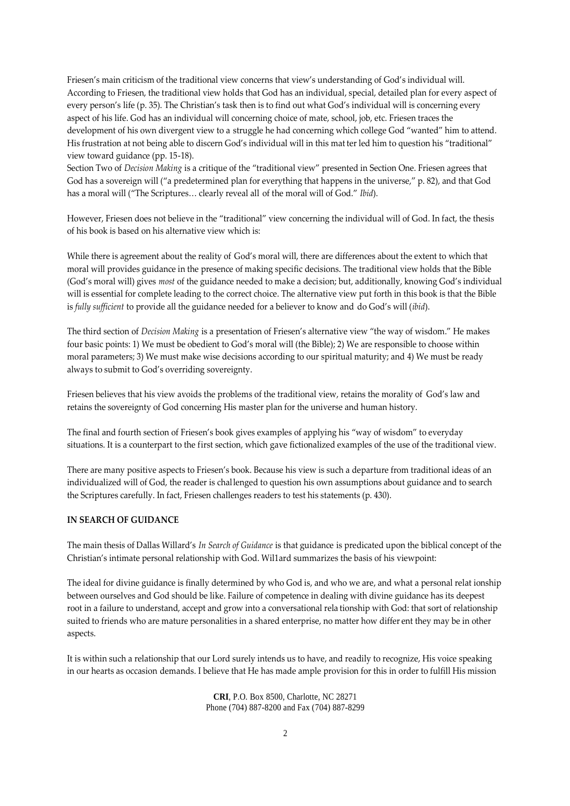Friesen's main criticism of the traditional view concerns that view's understanding of God's individual will. According to Friesen, the traditional view holds that God has an individual, special, detailed plan for every aspect of every person's life (p. 35). The Christian's task then is to find out what God's individual will is concerning every aspect of his life. God has an individual will concerning choice of mate, school, job, etc. Friesen traces the development of his own divergent view to a struggle he had concerning which college God "wanted" him to attend. His frustration at not being able to discern God's individual will in this mat ter led him to question his "traditional" view toward guidance (pp. 15-18).

Section Two of *Decision Making* is a critique of the "traditional view" presented in Section One. Friesen agrees that God has a sovereign will ("a predetermined plan for everything that happens in the universe," p. 82), and that God has a moral will ("The Scriptures… clearly reveal all of the moral will of God." *Ibid*).

However, Friesen does not believe in the "traditional" view concerning the individual will of God. In fact, the thesis of his book is based on his alternative view which is:

While there is agreement about the reality of God's moral will, there are differences about the extent to which that moral will provides guidance in the presence of making specific decisions. The traditional view holds that the Bible (God's moral will) gives *most* of the guidance needed to make a decision; but, additionally, knowing God's individual will is essential for complete leading to the correct choice. The alternative view put forth in this book is that the Bible is *fully sufficient* to provide all the guidance needed for a believer to know and do God's will (*ibid*).

The third section of *Decision Making* is a presentation of Friesen's alternative view "the way of wisdom." He makes four basic points: 1) We must be obedient to God's moral will (the Bible); 2) We are responsible to choose within moral parameters; 3) We must make wise decisions according to our spiritual maturity; and 4) We must be ready always to submit to God's overriding sovereignty.

Friesen believes that his view avoids the problems of the traditional view, retains the morality of God's law and retains the sovereignty of God concerning His master plan for the universe and human history.

The final and fourth section of Friesen's book gives examples of applying his "way of wisdom" to everyday situations. It is a counterpart to the first section, which gave fictionalized examples of the use of the traditional view.

There are many positive aspects to Friesen's book. Because his view is such a departure from traditional ideas of an individualized will of God, the reader is challenged to question his own assumptions about guidance and to search the Scriptures carefully. In fact, Friesen challenges readers to test his statements (p. 430).

### **IN SEARCH OF GUIDANCE**

The main thesis of Dallas Willard's *In Search of Guidance* is that guidance is predicated upon the biblical concept of the Christian's intimate personal relationship with God. Wil1ard summarizes the basis of his viewpoint:

The ideal for divine guidance is finally determined by who God is, and who we are, and what a personal relat ionship between ourselves and God should be like. Failure of competence in dealing with divine guidance has its deepest root in a failure to understand, accept and grow into a conversational rela tionship with God: that sort of relationship suited to friends who are mature personalities in a shared enterprise, no matter how differ ent they may be in other aspects.

It is within such a relationship that our Lord surely intends us to have, and readily to recognize, His voice speaking in our hearts as occasion demands. I believe that He has made ample provision for this in order to fulfill His mission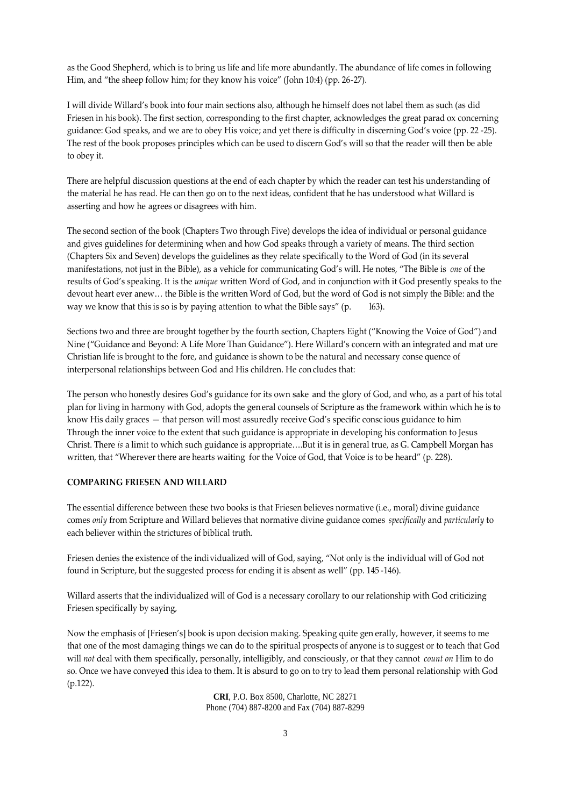as the Good Shepherd, which is to bring us life and life more abundantly. The abundance of life comes in following Him, and "the sheep follow him; for they know his voice" (John 10:4) (pp. 26-27).

I will divide Willard's book into four main sections also, although he himself does not label them as such (as did Friesen in his book). The first section, corresponding to the first chapter, acknowledges the great parad ox concerning guidance: God speaks, and we are to obey His voice; and yet there is difficulty in discerning God's voice (pp. 22 -25). The rest of the book proposes principles which can be used to discern God's will so that the reader will then be able to obey it.

There are helpful discussion questions at the end of each chapter by which the reader can test his understanding of the material he has read. He can then go on to the next ideas, confident that he has understood what Willard is asserting and how he agrees or disagrees with him.

The second section of the book (Chapters Two through Five) develops the idea of individual or personal guidance and gives guidelines for determining when and how God speaks through a variety of means. The third section (Chapters Six and Seven) develops the guidelines as they relate specifically to the Word of God (in its several manifestations, not just in the Bible), as a vehicle for communicating God's will. He notes, "The Bible is *one* of the results of God's speaking. It is the *unique* written Word of God, and in conjunction with it God presently speaks to the devout heart ever anew… the Bible is the written Word of God, but the word of God is not simply the Bible: and the way we know that this is so is by paying attention to what the Bible says" (p. [63].

Sections two and three are brought together by the fourth section, Chapters Eight ("Knowing the Voice of God") and Nine ("Guidance and Beyond: A Life More Than Guidance"). Here Willard's concern with an integrated and mat ure Christian life is brought to the fore, and guidance is shown to be the natural and necessary conse quence of interpersonal relationships between God and His children. He con cludes that:

The person who honestly desires God's guidance for its own sake and the glory of God, and who, as a part of his total plan for living in harmony with God, adopts the general counsels of Scripture as the framework within which he is to know His daily graces — that person will most assuredly receive God's specific consc ious guidance to him Through the inner voice to the extent that such guidance is appropriate in developing his conformation to Jesus Christ. There *is* a limit to which such guidance is appropriate….But it is in general true, as G. Campbell Morgan has written, that "Wherever there are hearts waiting for the Voice of God, that Voice is to be heard" (p. 228).

#### **COMPARING FRIESEN AND WILLARD**

The essential difference between these two books is that Friesen believes normative (i.e., moral) divine guidance comes *only* from Scripture and Willard believes that normative divine guidance comes *specifically* and *particularly* to each believer within the strictures of biblical truth.

Friesen denies the existence of the individualized will of God, saying, "Not only is the individual will of God not found in Scripture, but the suggested process for ending it is absent as well" (pp. 145 -146).

Willard asserts that the individualized will of God is a necessary corollary to our relationship with God criticizing Friesen specifically by saying,

Now the emphasis of [Friesen's] book is upon decision making. Speaking quite gen erally, however, it seems to me that one of the most damaging things we can do to the spiritual prospects of anyone is to suggest or to teach that God will *not* deal with them specifically, personally, intelligibly, and consciously, or that they cannot *count on* Him to do so. Once we have conveyed this idea to them. It is absurd to go on to try to lead them personal relationship with God (p.122).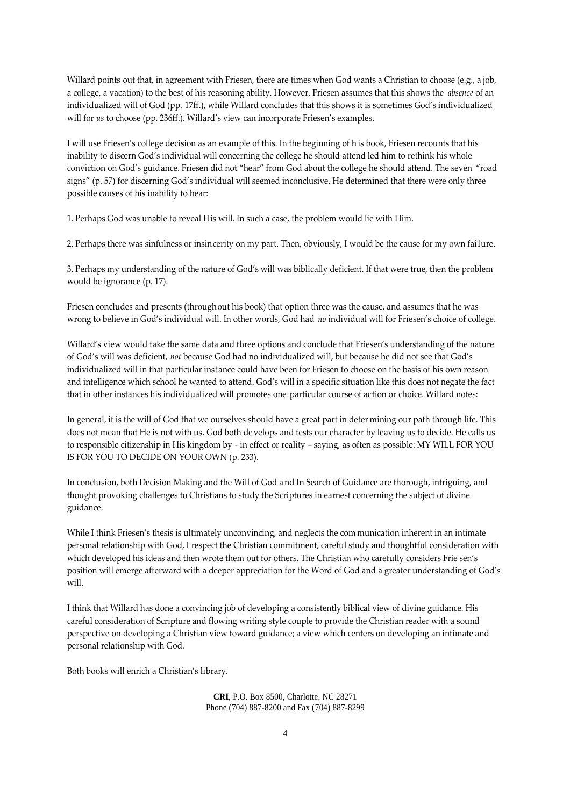Willard points out that, in agreement with Friesen, there are times when God wants a Christian to choose (e.g., a job, a college, a vacation) to the best of his reasoning ability. However, Friesen assumes that this shows the *absence* of an individualized will of God (pp. 17ff.), while Willard concludes that this shows it is sometimes God's individualized will for *us* to choose (pp. 236ff.). Willard's view can incorporate Friesen's examples.

I will use Friesen's college decision as an example of this. In the beginning of h is book, Friesen recounts that his inability to discern God's individual will concerning the college he should attend led him to rethink his whole conviction on God's guidance. Friesen did not "hear" from God about the college he should attend. The seven "road signs" (p. 57) for discerning God's individual will seemed inconclusive. He determined that there were only three possible causes of his inability to hear:

1. Perhaps God was unable to reveal His will. In such a case, the problem would lie with Him.

2. Perhaps there was sinfulness or insincerity on my part. Then, obviously, I would be the cause for my own fai1ure.

3. Perhaps my understanding of the nature of God's will was biblically deficient. If that were true, then the problem would be ignorance (p. 17).

Friesen concludes and presents (throughout his book) that option three was the cause, and assumes that he was wrong to believe in God's individual will. In other words, God had *no* individual will for Friesen's choice of college.

Willard's view would take the same data and three options and conclude that Friesen's understanding of the nature of God's will was deficient, *not* because God had no individualized will, but because he did not see that God's individualized will in that particular instance could have been for Friesen to choose on the basis of his own reason and intelligence which school he wanted to attend. God's will in a specific situation like this does not negate the fact that in other instances his individualized will promotes one particular course of action or choice. Willard notes:

In general, it is the will of God that we ourselves should have a great part in deter mining our path through life. This does not mean that He is not with us. God both develops and tests our character by leaving us to decide. He calls us to responsible citizenship in His kingdom by - in effect or reality – saying, as often as possible: MY WILL FOR YOU IS FOR YOU TO DECIDE ON YOUR OWN (p. 233).

In conclusion, both Decision Making and the Will of God a nd In Search of Guidance are thorough, intriguing, and thought provoking challenges to Christians to study the Scriptures in earnest concerning the subject of divine guidance.

While I think Friesen's thesis is ultimately unconvincing, and neglects the com munication inherent in an intimate personal relationship with God, I respect the Christian commitment, careful study and thoughtful consideration with which developed his ideas and then wrote them out for others. The Christian who carefully considers Frie sen's position will emerge afterward with a deeper appreciation for the Word of God and a greater understanding of God's will.

I think that Willard has done a convincing job of developing a consistently biblical view of divine guidance. His careful consideration of Scripture and flowing writing style couple to provide the Christian reader with a sound perspective on developing a Christian view toward guidance; a view which centers on developing an intimate and personal relationship with God.

Both books will enrich a Christian's library.